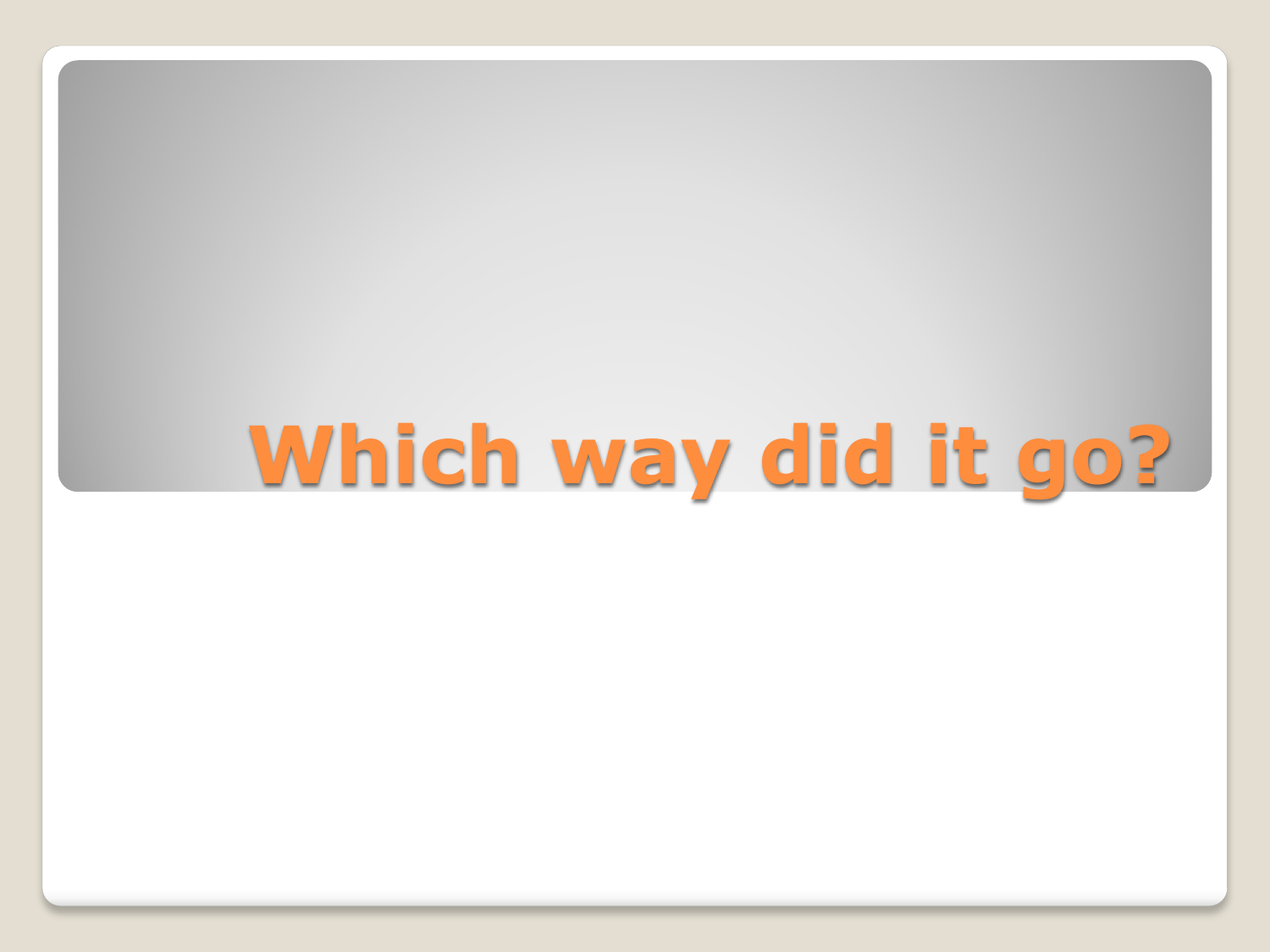# **Which way did it go?**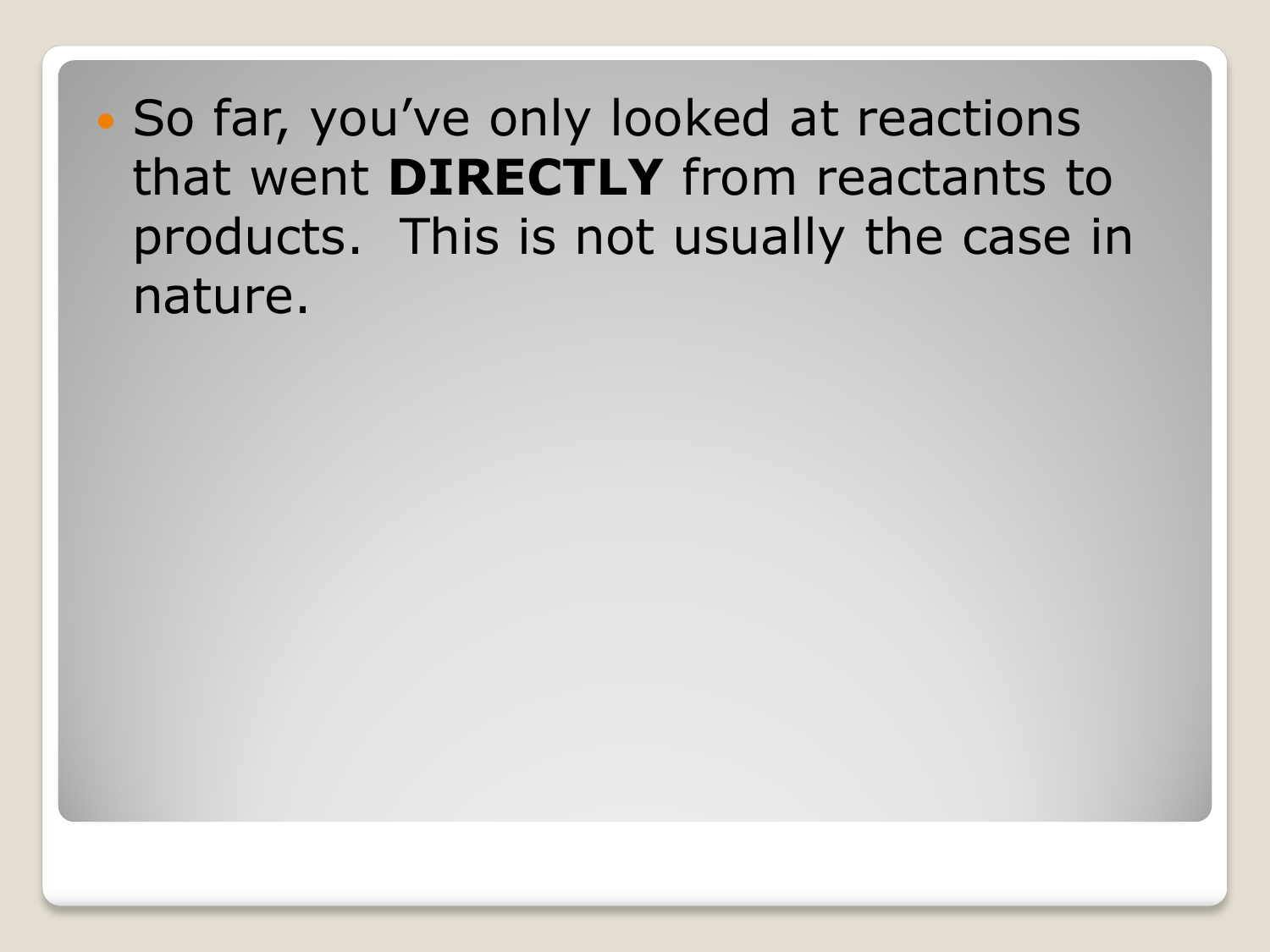So far, you've only looked at reactions that went **DIRECTLY** from reactants to products. This is not usually the case in nature.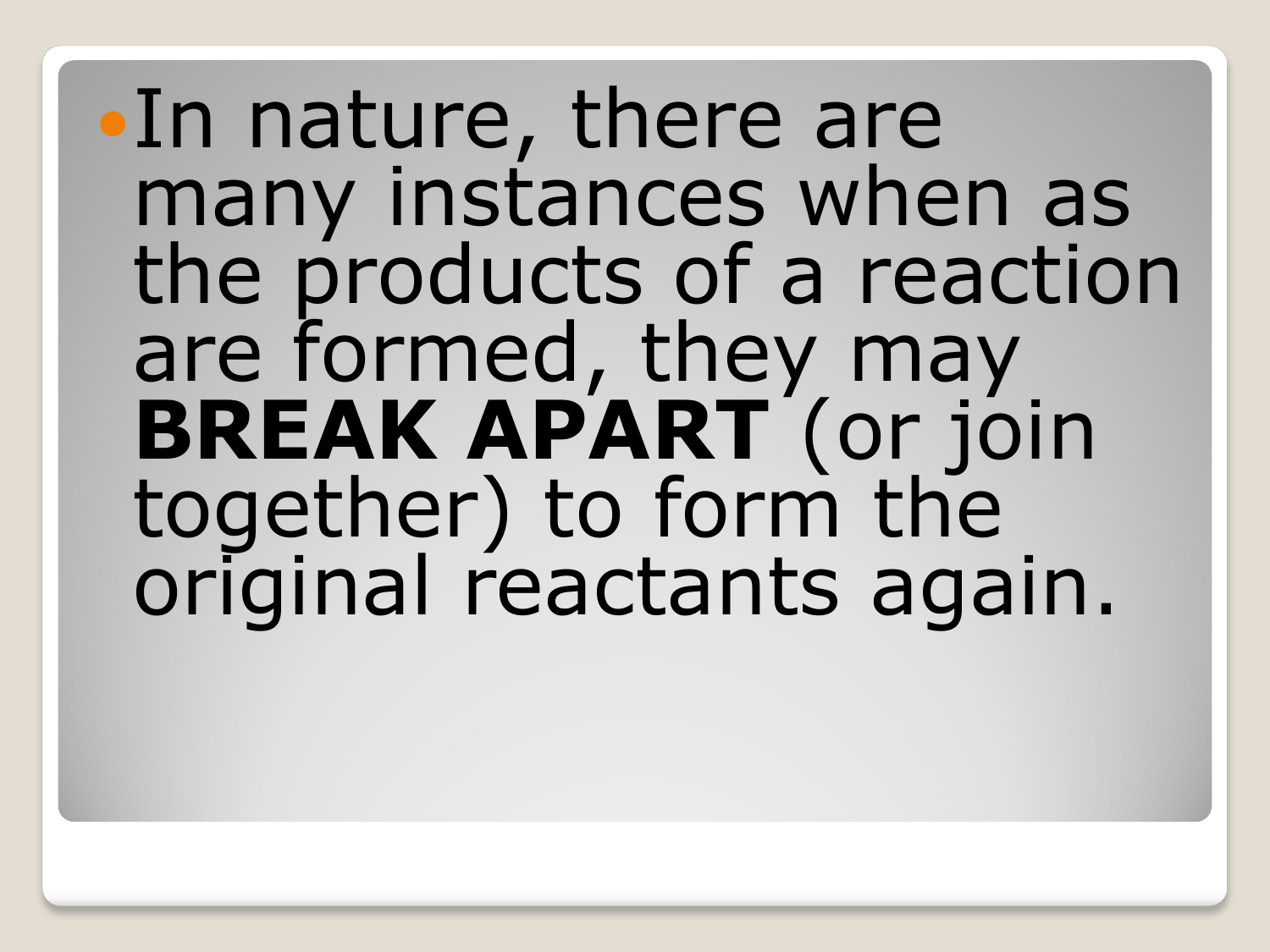# In nature, there are many instances when as the products of a reaction are formed, they may **BREAK APART** (or join together) to form the original reactants again.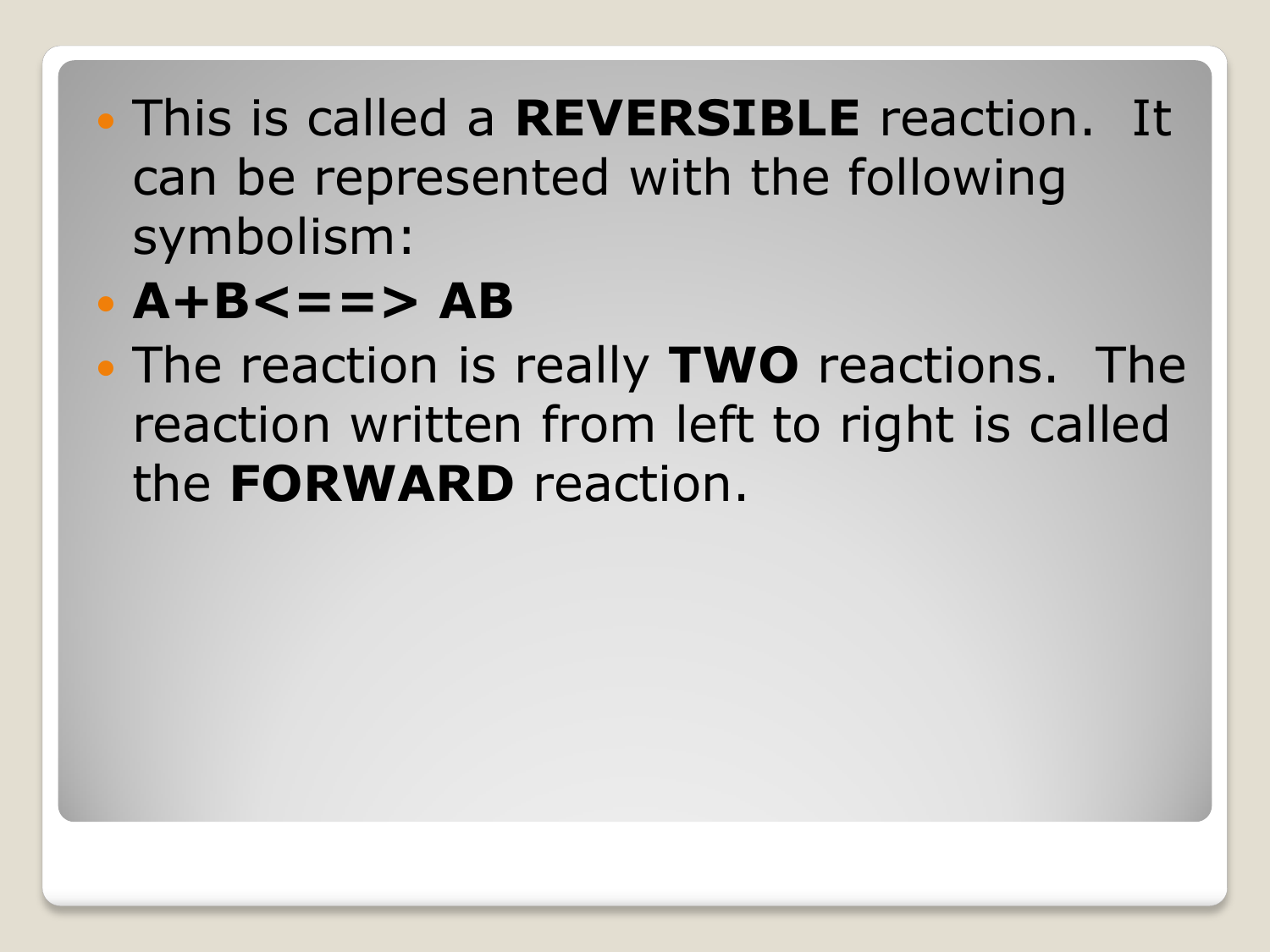This is called a **REVERSIBLE** reaction. It can be represented with the following symbolism:

### **A+B<==> AB**

 The reaction is really **TWO** reactions. The reaction written from left to right is called the **FORWARD** reaction.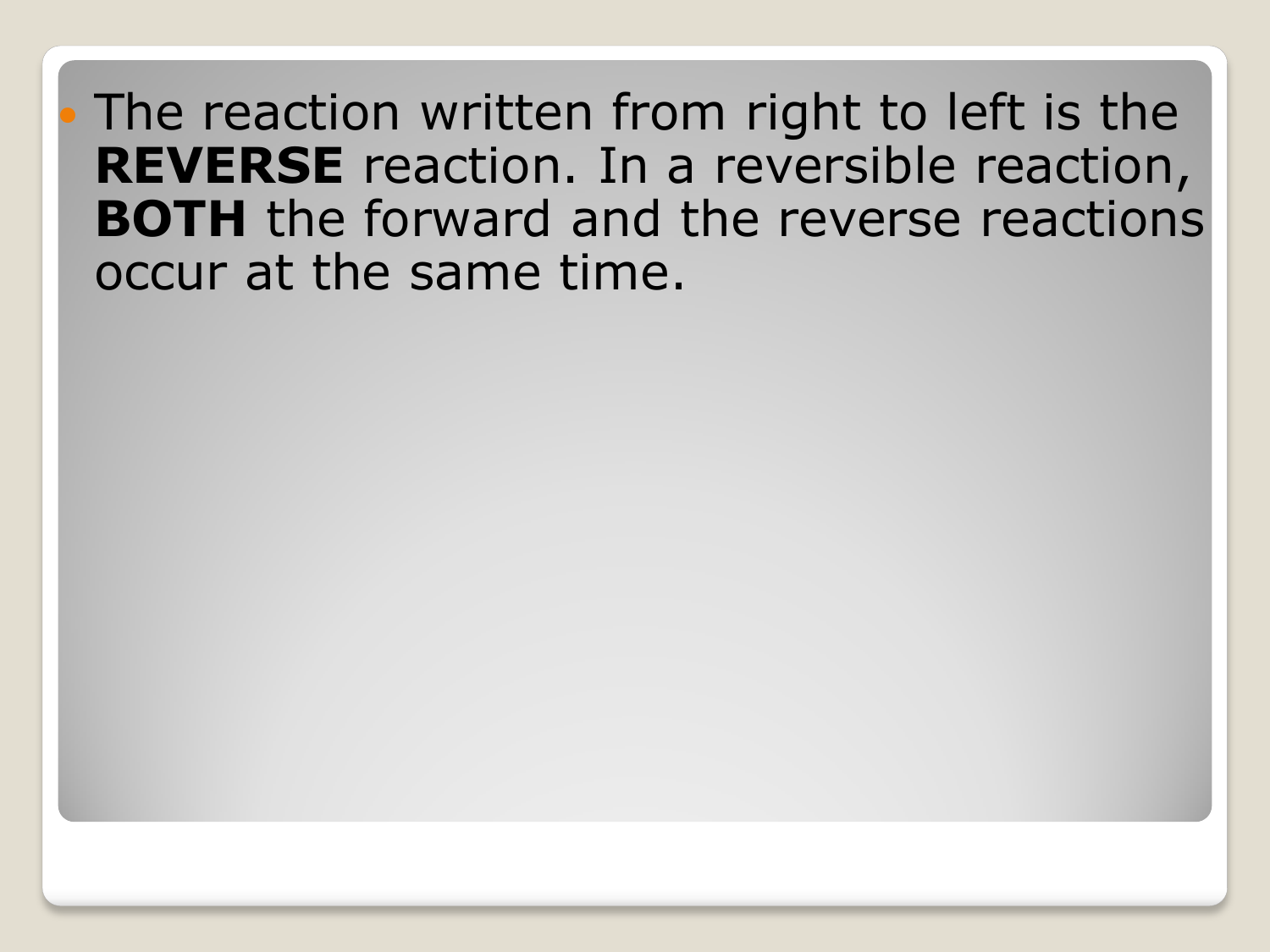The reaction written from right to left is the **REVERSE** reaction. In a reversible reaction, **BOTH** the forward and the reverse reactions occur at the same time.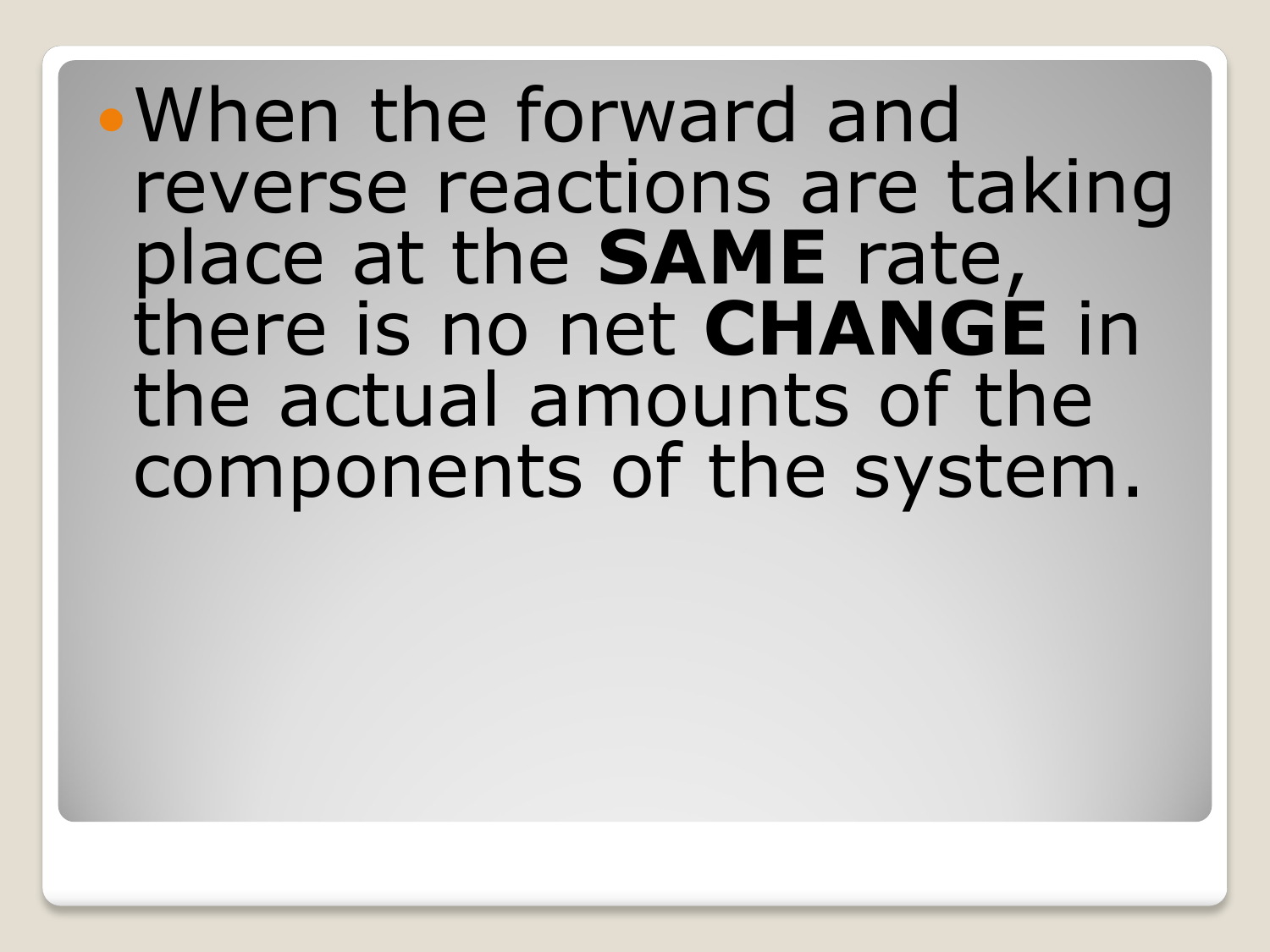## When the forward and reverse reactions are taking place at the **SAME** rate, there is no net **CHANGE** in the actual amounts of the components of the system.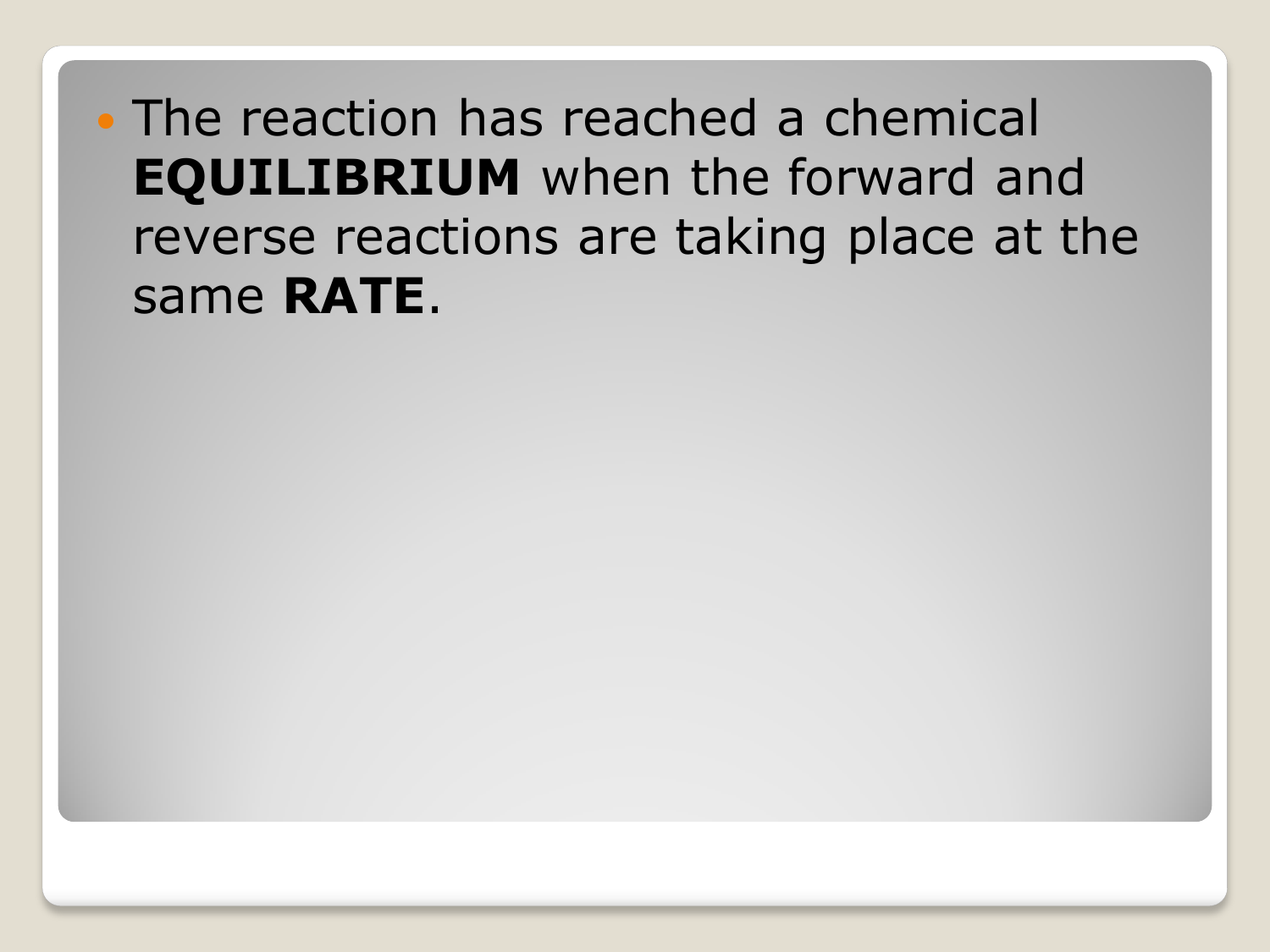• The reaction has reached a chemical **EQUILIBRIUM** when the forward and reverse reactions are taking place at the same **RATE**.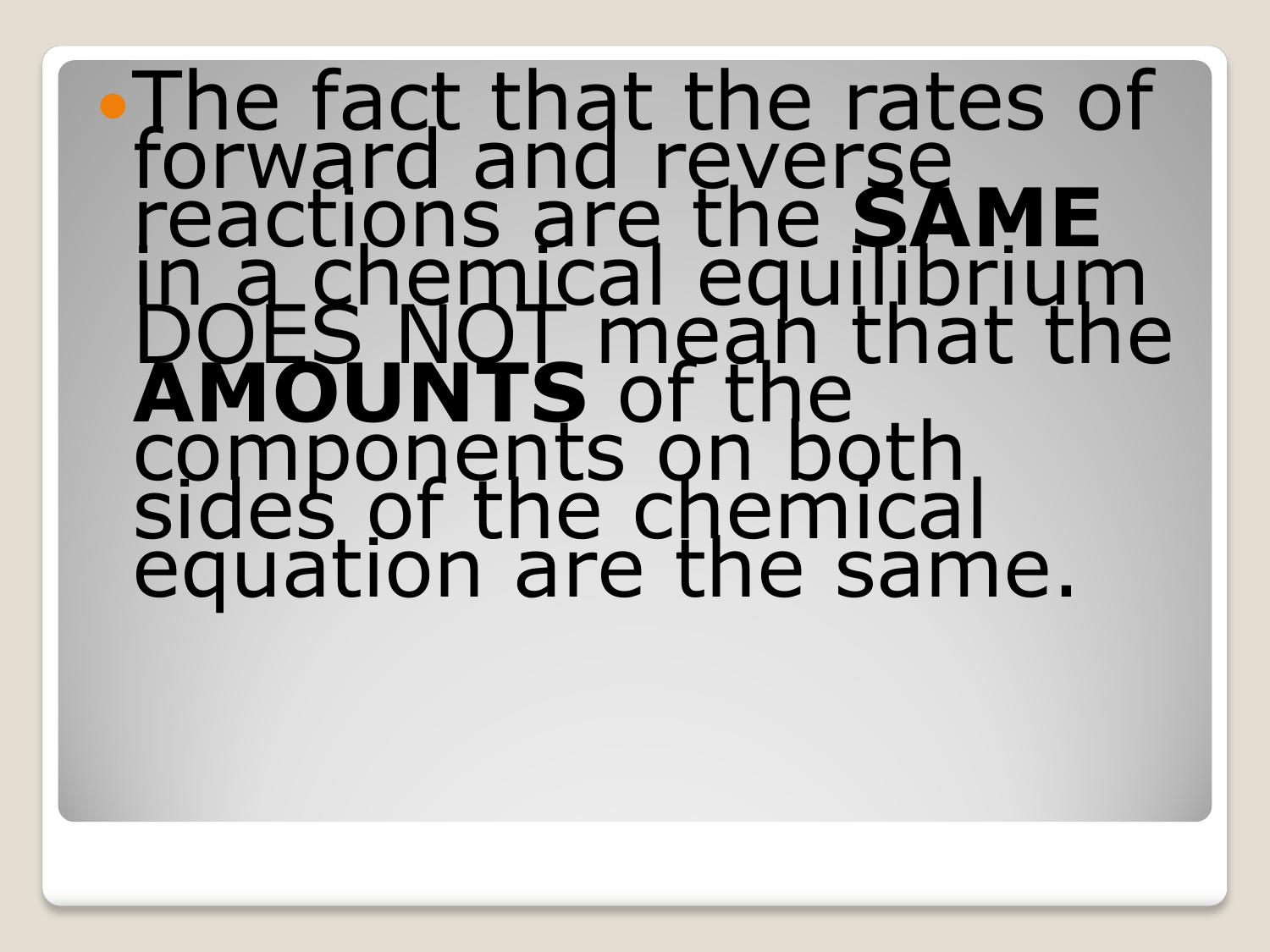# The fact that the rates of<br>forward and reverse<br>reactions are the **SAME**<br>in a chemical equilibrium<br>DOES NOT mean that the<br>**AMOUNTS** of the<br>components on both<br>sides of the chemical<br>equation are the same.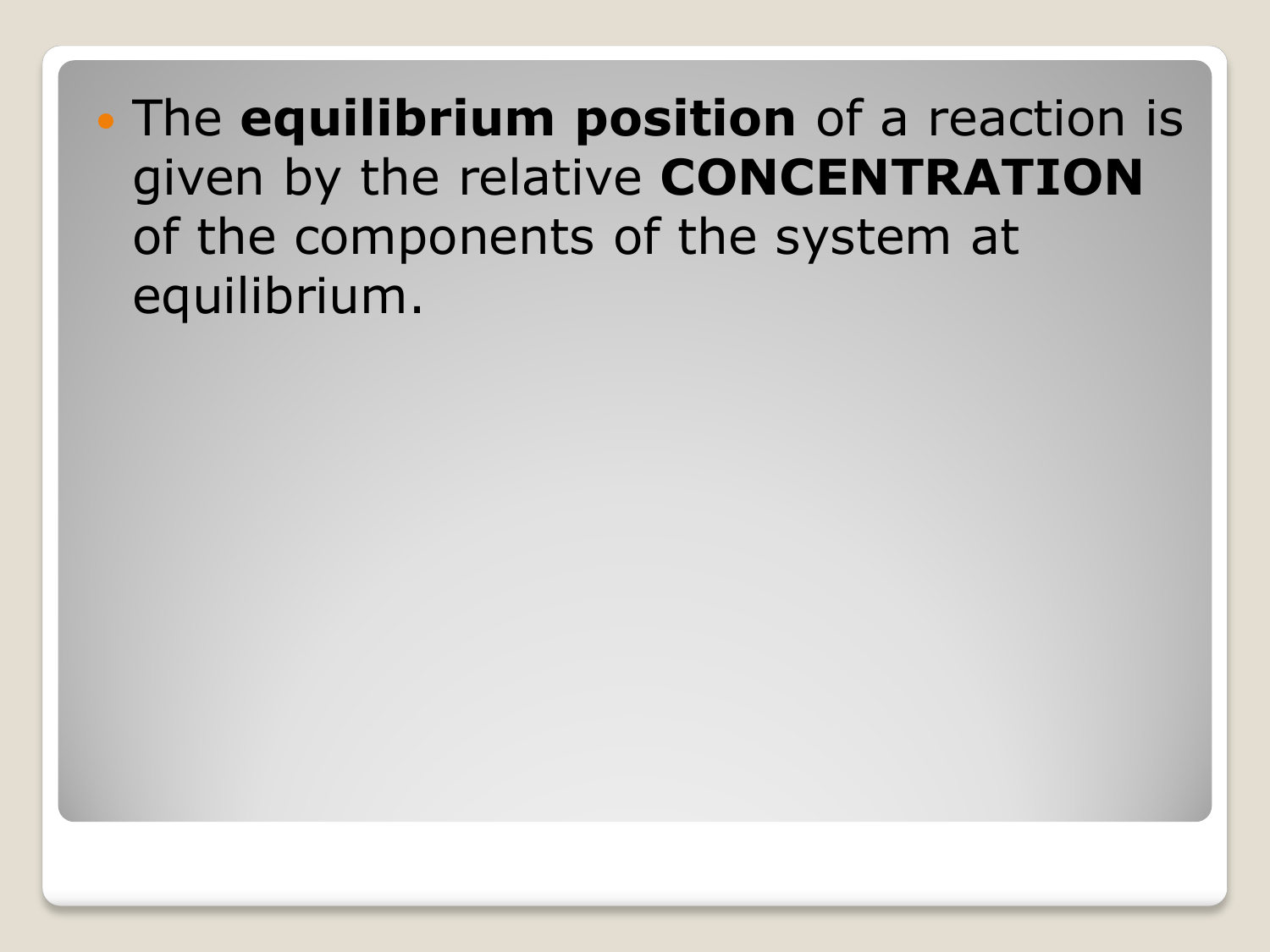The **equilibrium position** of a reaction is given by the relative **CONCENTRATION** of the components of the system at equilibrium.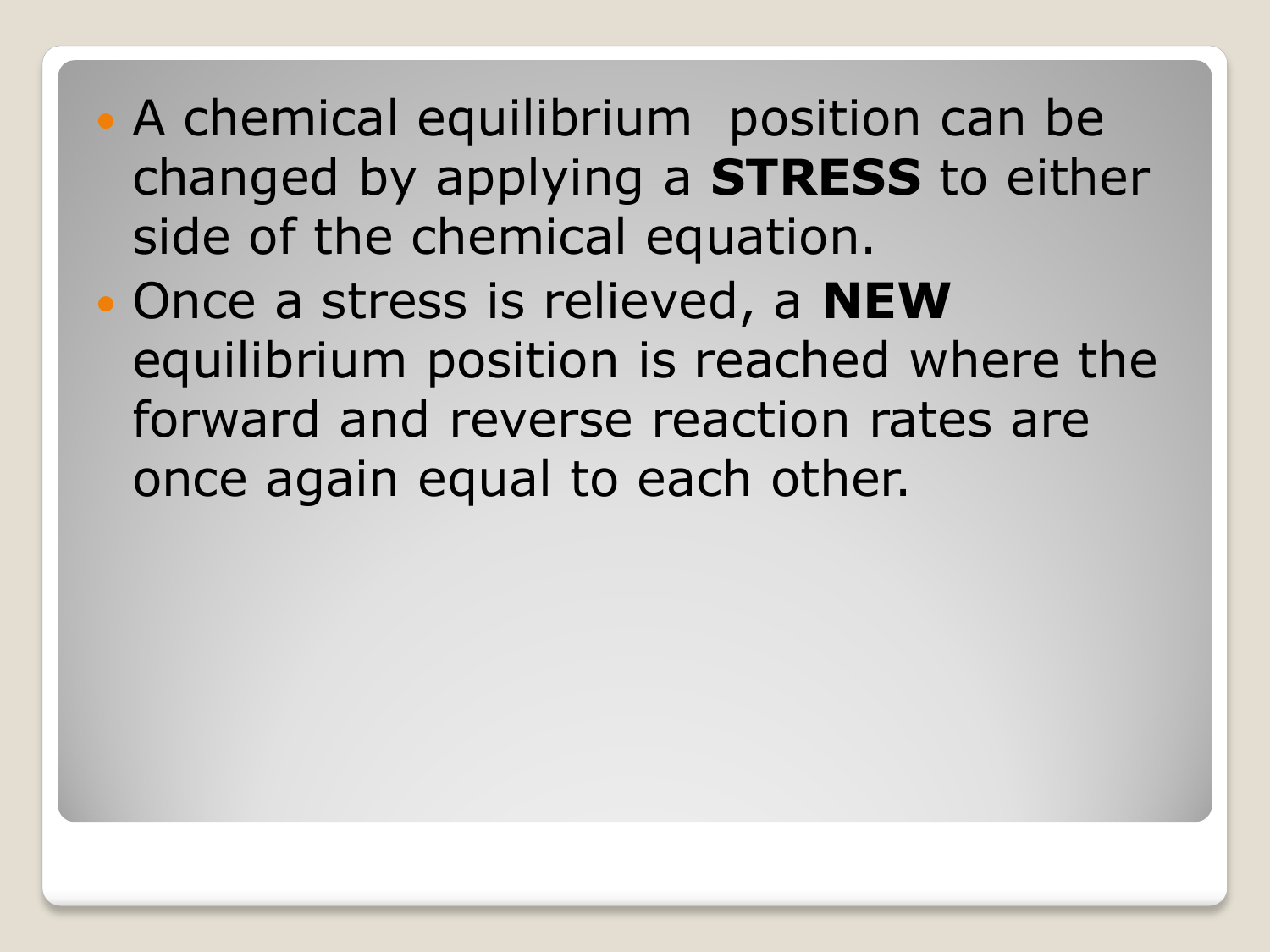- A chemical equilibrium position can be changed by applying a **STRESS** to either side of the chemical equation.
- Once a stress is relieved, a **NEW** equilibrium position is reached where the forward and reverse reaction rates are once again equal to each other.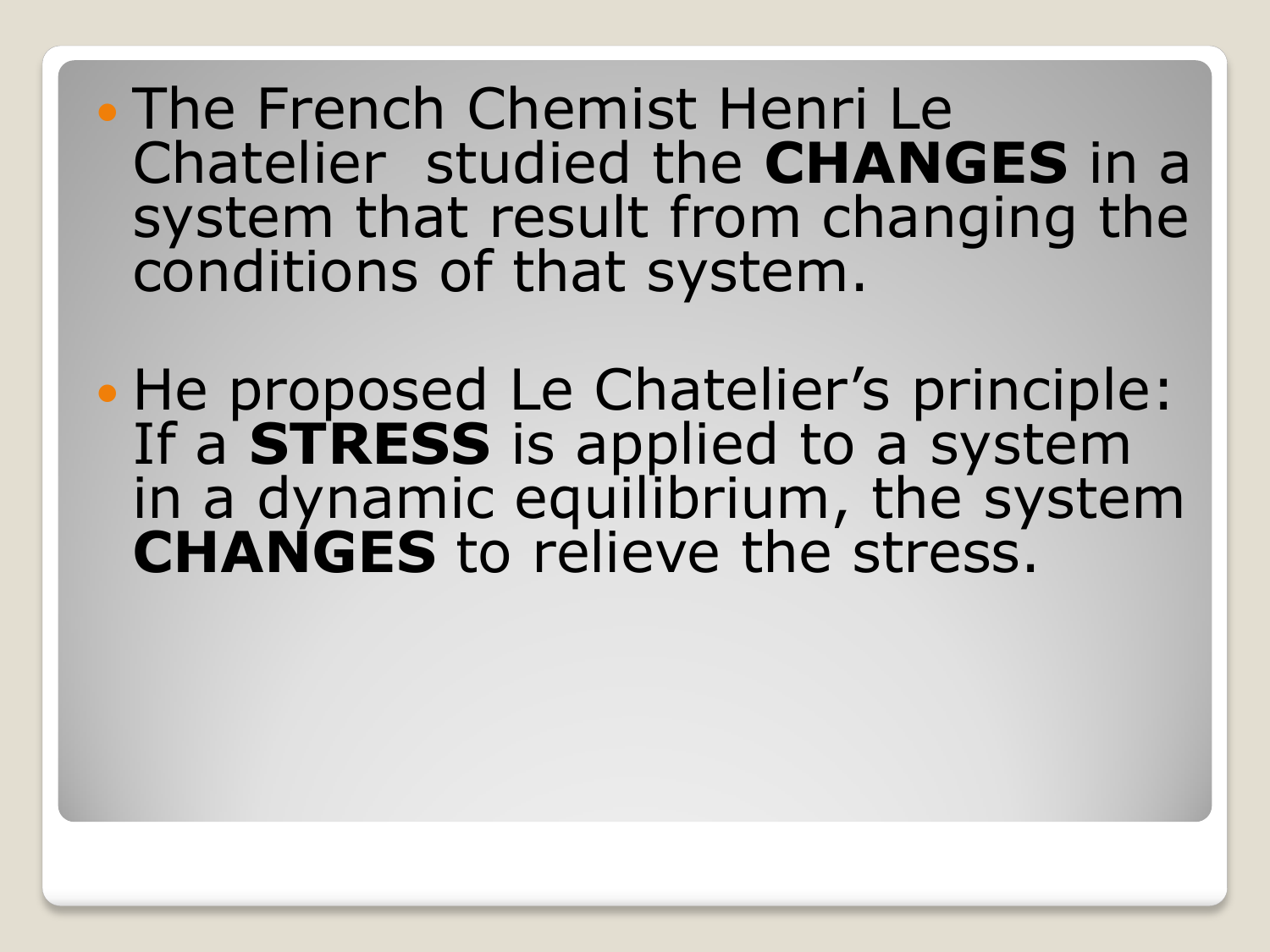The French Chemist Henri Le Chatelier studied the **CHANGES** in a system that result from changing the conditions of that system.

• He proposed Le Chatelier's principle: If a **STRESS** is applied to a system in a dynamic equilibrium, the system **CHANGES** to relieve the stress.